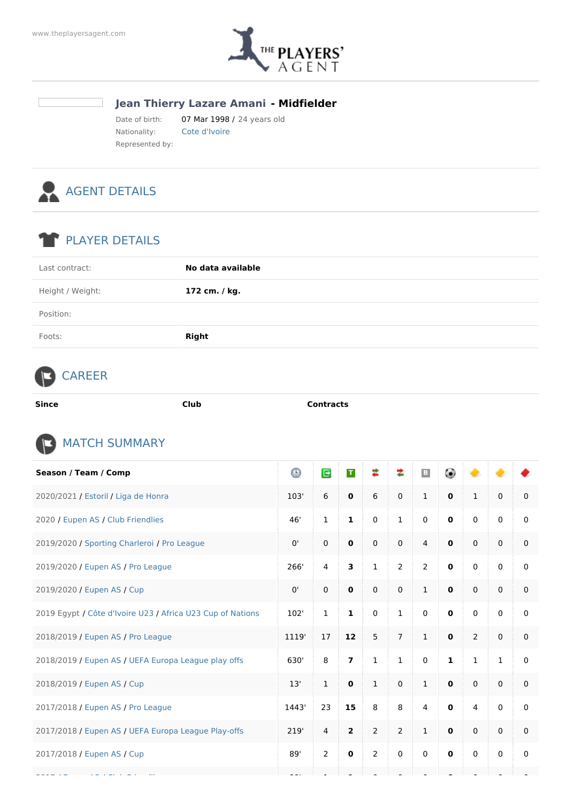

## **Jean Thierry Lazare Amani - Midfielder**

Date of birth: 07 Mar 1998 / 24 years old Nationality: Cote d'Ivoire Represented by:



## PLAYER DETAILS

| Last contract:   | No data available |
|------------------|-------------------|
| Height / Weight: | 172 cm. / kg.     |
| Position:        |                   |
| Foots:           | <b>Right</b>      |

## CAREER

| Since | :Iut<br>$-1 - 1 - 1$ | i un eta |
|-------|----------------------|----------|
|       |                      |          |



| Season / Team / Comp                                       | $_{\odot}$ | E              | $\mathsf T$    | ≠              | ≉              | $\vert \hspace{.06cm} \vert$<br>B | 0            |                |              |             |
|------------------------------------------------------------|------------|----------------|----------------|----------------|----------------|-----------------------------------|--------------|----------------|--------------|-------------|
| 2020/2021 / Estoril / Liga de Honra                        | 103'       | 6              | $\mathbf 0$    | 6              | $\pmb{0}$      | $\mathbf{1}$                      | $\mathbf 0$  | $\mathbf{1}$   | $\mathbf 0$  | $\mathbf 0$ |
| 2020 / Eupen AS / Club Friendlies                          | 46'        | $\mathbf{1}$   | $\mathbf{1}$   | $\mathbf 0$    | $\mathbf{1}$   | $\mathbf 0$                       | $\mathbf 0$  | $\mathbf{0}$   | $\mathbf 0$  | 0           |
| 2019/2020 / Sporting Charleroi / Pro League                | 0'         | $\mathbf 0$    | $\mathbf 0$    | $\mathbf 0$    | $\mathbf 0$    | $\overline{4}$                    | $\mathbf 0$  | $\mathbf{0}$   | $\mathbf 0$  | $\mathbf 0$ |
| 2019/2020 / Eupen AS / Pro League                          | 266'       | $\overline{4}$ | 3              | $\mathbf{1}$   | $\overline{2}$ | $\overline{2}$                    | $\mathbf 0$  | $\mathbf 0$    | $\mathbf 0$  | 0           |
| 2019/2020 / Eupen AS / Cup                                 | 0'         | $\mathsf 0$    | $\mathbf 0$    | $\mathbf 0$    | $\mathbf 0$    | $\mathbf{1}$                      | $\mathbf 0$  | $\mathbf 0$    | $\mathsf 0$  | $\mathbf 0$ |
| 2019 Egypt / Côte d'Ivoire U23 / Africa U23 Cup of Nations | 102'       | $\mathbf{1}$   | $\mathbf{1}$   | $\mathbf 0$    | $\mathbf 1$    | $\mathbf 0$                       | $\mathbf 0$  | $\mathbf{0}$   | $\mathbf 0$  | 0           |
| 2018/2019 / Eupen AS / Pro League                          | 1119'      | 17             | 12             | 5              | $\overline{7}$ | $\mathbf{1}$                      | $\mathbf 0$  | 2              | $\mathbf 0$  | $\mathbf 0$ |
| 2018/2019 / Eupen AS / UEFA Europa League play offs        | 630'       | 8              | $\overline{ }$ | $\mathbf 1$    | $\mathbf 1$    | $\mathbf 0$                       | $\mathbf{1}$ | $\mathbf{1}$   | $\mathbf{1}$ | 0           |
| 2018/2019 / Eupen AS / Cup                                 | 13'        | $\mathbf{1}$   | $\mathbf 0$    | $\mathbf{1}$   | $\mathbf 0$    | $\mathbf{1}$                      | $\mathbf 0$  | $\mathbf 0$    | $\mathbf 0$  | 0           |
| 2017/2018 / Eupen AS / Pro League                          | 1443'      | 23             | 15             | 8              | 8              | 4                                 | $\mathbf 0$  | $\overline{4}$ | $\mathbf 0$  | 0           |
| 2017/2018 / Eupen AS / UEFA Europa League Play-offs        | 219'       | $\overline{4}$ | $\overline{2}$ | $\overline{2}$ | $\overline{2}$ | $\mathbf 1$                       | $\mathbf 0$  | $\mathbf 0$    | $\mathbf 0$  | 0           |
| 2017/2018 / Eupen AS / Cup                                 | 89'        | $\overline{2}$ | $\mathbf 0$    | $\overline{2}$ | $\mathbf 0$    | $\mathbf 0$                       | $\mathbf 0$  | $\mathbf 0$    | $\mathbf 0$  | 0           |
|                                                            |            |                |                |                |                |                                   |              |                |              |             |